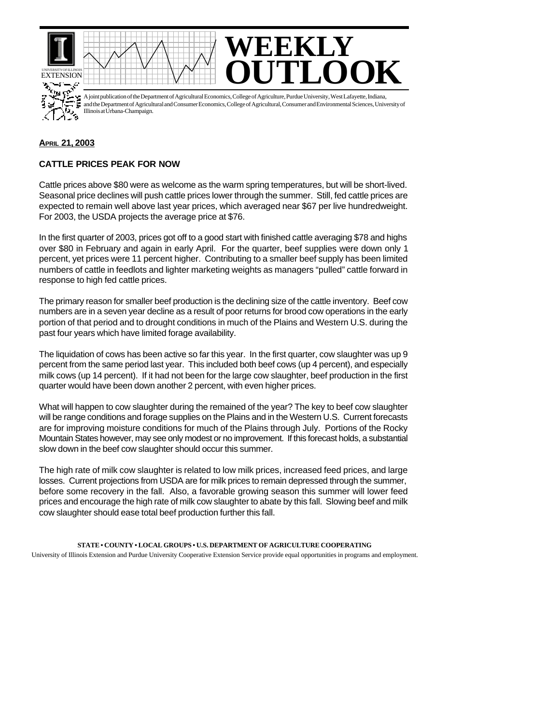

## **APRIL 21, 2003**

## **CATTLE PRICES PEAK FOR NOW**

Cattle prices above \$80 were as welcome as the warm spring temperatures, but will be short-lived. Seasonal price declines will push cattle prices lower through the summer. Still, fed cattle prices are expected to remain well above last year prices, which averaged near \$67 per live hundredweight. For 2003, the USDA projects the average price at \$76.

In the first quarter of 2003, prices got off to a good start with finished cattle averaging \$78 and highs over \$80 in February and again in early April. For the quarter, beef supplies were down only 1 percent, yet prices were 11 percent higher. Contributing to a smaller beef supply has been limited numbers of cattle in feedlots and lighter marketing weights as managers "pulled" cattle forward in response to high fed cattle prices.

The primary reason for smaller beef production is the declining size of the cattle inventory. Beef cow numbers are in a seven year decline as a result of poor returns for brood cow operations in the early portion of that period and to drought conditions in much of the Plains and Western U.S. during the past four years which have limited forage availability.

The liquidation of cows has been active so far this year. In the first quarter, cow slaughter was up 9 percent from the same period last year. This included both beef cows (up 4 percent), and especially milk cows (up 14 percent). If it had not been for the large cow slaughter, beef production in the first quarter would have been down another 2 percent, with even higher prices.

What will happen to cow slaughter during the remained of the year? The key to beef cow slaughter will be range conditions and forage supplies on the Plains and in the Western U.S. Current forecasts are for improving moisture conditions for much of the Plains through July. Portions of the Rocky Mountain States however, may see only modest or no improvement. If this forecast holds, a substantial slow down in the beef cow slaughter should occur this summer.

The high rate of milk cow slaughter is related to low milk prices, increased feed prices, and large losses. Current projections from USDA are for milk prices to remain depressed through the summer, before some recovery in the fall. Also, a favorable growing season this summer will lower feed prices and encourage the high rate of milk cow slaughter to abate by this fall. Slowing beef and milk cow slaughter should ease total beef production further this fall.

## **STATE • COUNTY • LOCAL GROUPS • U.S. DEPARTMENT OF AGRICULTURE COOPERATING**

University of Illinois Extension and Purdue University Cooperative Extension Service provide equal opportunities in programs and employment.